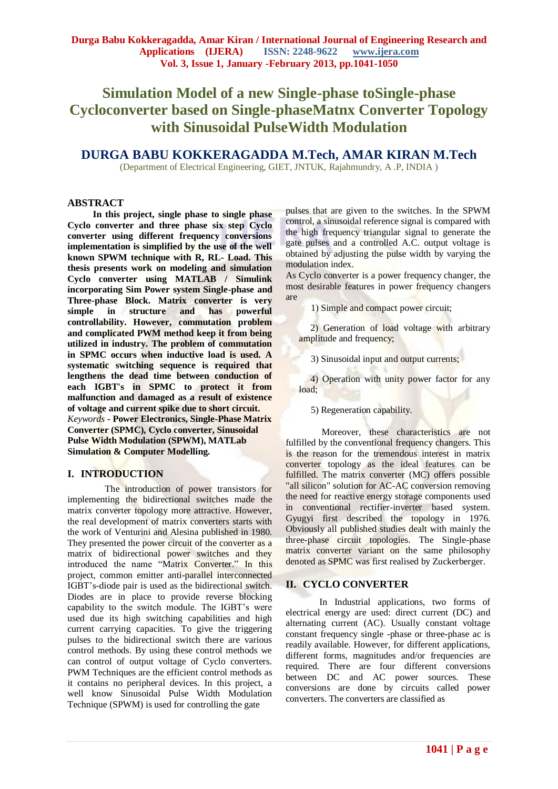# **Simulation Model of a new Single-phase toSingle-phase Cycloconverter based on Single-phaseMatnx Converter Topology with Sinusoidal PulseWidth Modulation**

# **DURGA BABU KOKKERAGADDA M.Tech, AMAR KIRAN M.Tech**

(Department of Electrical Engineering, GIET, JNTUK, Rajahmundry, A .P, INDIA )

#### **ABSTRACT**

**In this project, single phase to single phase Cyclo converter and three phase six step Cyclo converter using different frequency conversions implementation is simplified by the use of the well known SPWM technique with R, RL- Load. This thesis presents work on modeling and simulation Cyclo converter using MATLAB / Simulink incorporating Sim Power system Single-phase and Three-phase Block. Matrix converter is very simple in structure and has powerful controllability. However, commutation problem and complicated PWM method keep it from being utilized in industry. The problem of commutation in SPMC occurs when inductive load is used. A systematic switching sequence is required that lengthens the dead time between conduction of each IGBT's in SPMC to protect it from malfunction and damaged as a result of existence of voltage and current spike due to short circuit.** *Keywords* **- Power Electronics, Single-Phase Matrix Converter (SPMC), Cyclo converter, Sinusoidal Pulse Width Modulation (SPWM), MATLab Simulation & Computer Modelling.**

## **I. INTRODUCTION**

 The introduction of power transistors for implementing the bidirectional switches made the matrix converter topology more attractive. However, the real development of matrix converters starts with the work of Venturini and Alesina published in 1980. They presented the power circuit of the converter as a matrix of bidirectional power switches and they introduced the name "Matrix Converter." In this project, common emitter anti-parallel interconnected IGBT"s-diode pair is used as the bidirectional switch. Diodes are in place to provide reverse blocking capability to the switch module. The IGBT"s were used due its high switching capabilities and high current carrying capacities. To give the triggering pulses to the bidirectional switch there are various control methods. By using these control methods we can control of output voltage of Cyclo converters. PWM Techniques are the efficient control methods as it contains no peripheral devices. In this project, a well know Sinusoidal Pulse Width Modulation Technique (SPWM) is used for controlling the gate

pulses that are given to the switches. In the SPWM control, a sinusoidal reference signal is compared with the high frequency triangular signal to generate the gate pulses and a controlled A.C. output voltage is obtained by adjusting the pulse width by varying the modulation index.

As Cyclo converter is a power frequency changer, the most desirable features in power frequency changers are

1) Simple and compact power circuit;

 2) Generation of load voltage with arbitrary amplitude and frequency;

3) Sinusoidal input and output currents;

 4) Operation with unity power factor for any load;

#### 5) Regeneration capability.

Moreover, these characteristics are not fulfilled by the conventional frequency changers. This is the reason for the tremendous interest in matrix converter topology as the ideal features can be fulfilled. The matrix converter (MC) offers possible "all silicon" solution for AC-AC conversion removing the need for reactive energy storage components used in conventional rectifier-inverter based system. Gyugyi first described the topology in 1976. Obviously all published studies dealt with mainly the three-phase circuit topologies. The Single-phase matrix converter variant on the same philosophy denoted as SPMC was first realised by Zuckerberger.

## **II. CYCLO CONVERTER**

In Industrial applications, two forms of electrical energy are used: direct current (DC) and alternating current (AC). Usually constant voltage constant frequency single -phase or three-phase ac is readily available. However, for different applications, different forms, magnitudes and/or frequencies are required. There are four different conversions between DC and AC power sources. These conversions are done by circuits called power converters. The converters are classified as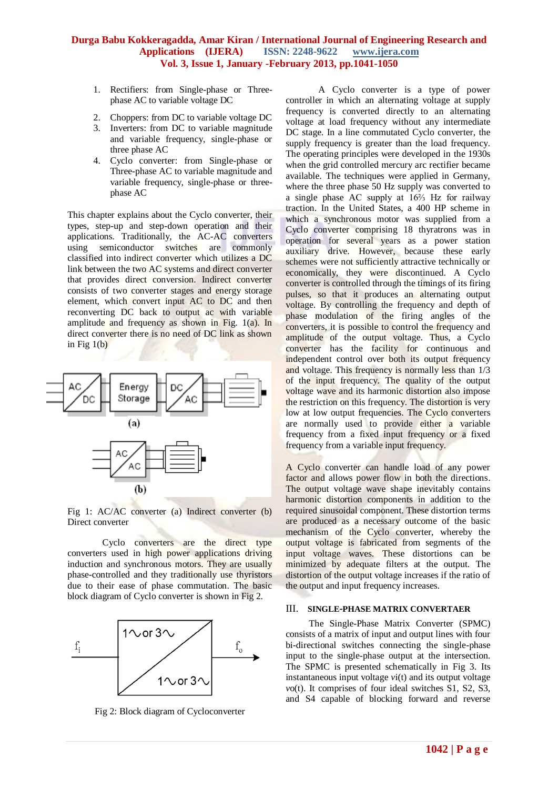- 1. Rectifiers: from Single-phase or Threephase AC to variable voltage DC
- 2. Choppers: from DC to variable voltage DC
- 3. Inverters: from DC to variable magnitude and variable frequency, single-phase or three phase AC
- 4. Cyclo converter: from Single-phase or Three-phase AC to variable magnitude and variable frequency, single-phase or threephase AC

This chapter explains about the Cyclo converter, their types, step-up and step-down operation and their applications. Traditionally, the AC-AC converters using semiconductor switches are commonly classified into indirect converter which utilizes a DC link between the two AC systems and direct converter that provides direct conversion. Indirect converter consists of two converter stages and energy storage element, which convert input AC to DC and then reconverting DC back to output ac with variable amplitude and frequency as shown in Fig. 1(a). In direct converter there is no need of DC link as shown in Fig  $1(b)$ 



Fig 1: AC/AC converter (a) Indirect converter (b) Direct converter

 Cyclo converters are the direct type converters used in high power applications driving induction and synchronous motors. They are usually phase-controlled and they traditionally use thyristors due to their ease of phase commutation. The basic block diagram of Cyclo converter is shown in Fig 2.



Fig 2: Block diagram of Cycloconverter

 A Cyclo converter is a type of power controller in which an alternating voltage at supply frequency is converted directly to an alternating voltage at load frequency without any intermediate DC stage. In a line commutated Cyclo converter, the supply frequency is greater than the load frequency. The operating principles were developed in the 1930s when the grid controlled mercury arc rectifier became available. The techniques were applied in Germany, where the three phase 50 Hz supply was converted to a single phase AC supply at 16⅔ Hz for railway traction. In the United States, a 400 HP scheme in which a synchronous motor was supplied from a Cyclo converter comprising 18 thyratrons was in operation for several years as a power station auxiliary drive. However, because these early schemes were not sufficiently attractive technically or economically, they were discontinued. A Cyclo converter is controlled through the timings of its firing pulses, so that it produces an alternating output voltage. By controlling the frequency and depth of phase modulation of the firing angles of the converters, it is possible to control the frequency and amplitude of the output voltage. Thus, a Cyclo converter has the facility for continuous and independent control over both its output frequency and voltage. This frequency is normally less than 1/3 of the input frequency. The quality of the output voltage wave and its harmonic distortion also impose the restriction on this frequency. The distortion is very low at low output frequencies. The Cyclo converters are normally used to provide either a variable frequency from a fixed input frequency or a fixed frequency from a variable input frequency.

A Cyclo converter can handle load of any power factor and allows power flow in both the directions. The output voltage wave shape inevitably contains harmonic distortion components in addition to the required sinusoidal component. These distortion terms are produced as a necessary outcome of the basic mechanism of the Cyclo converter, whereby the output voltage is fabricated from segments of the input voltage waves. These distortions can be minimized by adequate filters at the output. The distortion of the output voltage increases if the ratio of the output and input frequency increases.

#### III. **SINGLE-PHASE MATRIX CONVERTAER**

 The Single-Phase Matrix Converter (SPMC) consists of a matrix of input and output lines with four bi-directional switches connecting the single-phase input to the single-phase output at the intersection. The SPMC is presented schematically in Fig 3. Its instantaneous input voltage *v*i(t) and its output voltage *v*o(t). It comprises of four ideal switches S1, S2, S3, and S4 capable of blocking forward and reverse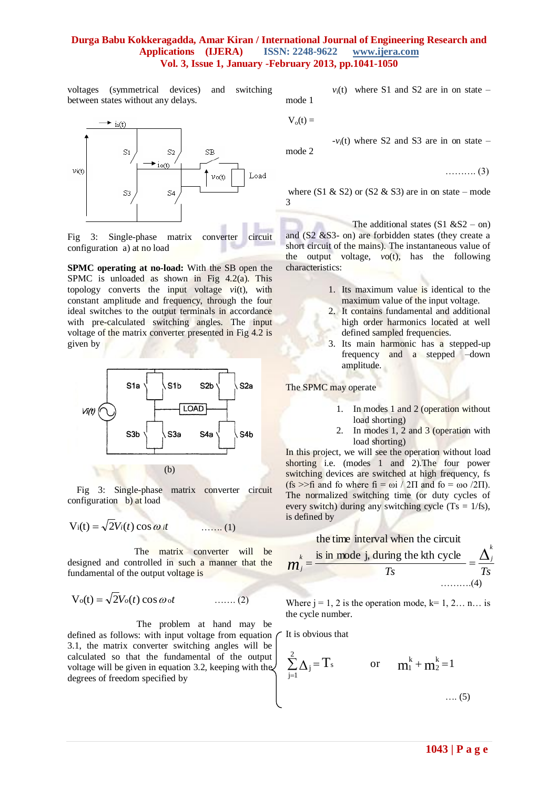voltages (symmetrical devices) and switching between states without any delays.



Fig 3: Single-phase matrix converter circuit configuration a) at no load

**SPMC operating at no-load:** With the SB open the SPMC is unloaded as shown in Fig 4.2(a). This topology converts the input voltage *v*i(t), with constant amplitude and frequency, through the four ideal switches to the output terminals in accordance with pre-calculated switching angles. The input voltage of the matrix converter presented in Fig 4.2 is given by



 Fig 3: Single-phase matrix converter circuit configuration b) at load

$$
V_i(t) = \sqrt{2}V_i(t) \cos \omega_i t
$$
 ...... (1)

The matrix converter will be designed and controlled in such a manner that the fundamental of the output voltage is

$$
V_o(t) = \sqrt{2}V_o(t) \cos \omega_o t \qquad \qquad \ldots \ldots (2)
$$

The problem at hand may be defined as follows: with input voltage from equation 3.1, the matrix converter switching angles will be calculated so that the fundamental of the output voltage will be given in equation 3.2, keeping with the degrees of freedom specified by

 $v_i(t)$  where S1 and S2 are in on state – mode 1

$$
V_o(t) =
$$

 $-v_i(t)$  where S2 and S3 are in on state – mode 2

………. (3)

where  $(S1 \& S2)$  or  $(S2 \& S3)$  are in on state – mode 3

The additional states  $(S1 \& S2 - on)$ and (S2 &S3- on) are forbidden states (they create a short circuit of the mains). The instantaneous value of the output voltage,  $v_0(t)$ , has the following characteristics:

- 1. Its maximum value is identical to the maximum value of the input voltage.
- 2. It contains fundamental and additional high order harmonics located at well defined sampled frequencies.
- 3. Its main harmonic has a stepped-up frequency and a stepped –down amplitude.

The SPMC may operate

- 1. In modes 1 and 2 (operation without load shorting)
- 2. In modes 1, 2 and 3 (operation with load shorting)

In this project, we will see the operation without load shorting i.e. (modes 1 and 2).The four power switching devices are switched at high frequency, fs (fs  $>>$ fi and fo where fi = ωi / 2Π and fo = ωo /2Π). The normalized switching time (or duty cycles of every switch) during any switching cycle  $(Ts = 1/fs)$ , is defined by

#### the time interval when the circuit

$$
m_j^k = \frac{\text{is in mode } j, \text{ during the kth cycle}}{Ts} = \frac{\Delta_j^k}{Ts}
$$
........(4)

Where  $j = 1, 2$  is the operation mode,  $k=1, 2...$  n... is the cycle number.

It is obvious that

$$
\sum_{j=1}^{2} \Delta_{j} = T_{s} \qquad \text{or} \qquad m_{1}^{k} + m_{2}^{k} = 1
$$
....(5)

*k*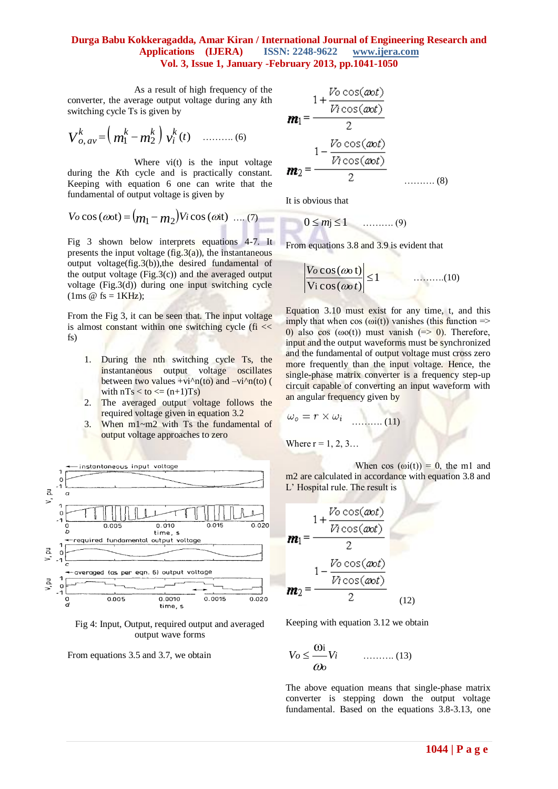As a result of high frequency of the converter, the average output voltage during any *k*th switching cycle Ts is given by

$$
V_{o, av}^{k} = (m_1^{k} - m_2^{k}) v_i^{k}(t) \quad ......... (6)
$$

Where  $vi(t)$  is the input voltage during the *K*th cycle and is practically constant. Keeping with equation 6 one can write that the fundamental of output voltage is given by

$$
V_0 \cos(\omega_0 t) = (m_1 - m_2)V_i \cos(\omega_0 t) \dots (7)
$$

Fig 3 shown below interprets equations 4-7. It presents the input voltage  $(fig.3(a))$ , the instantaneous output voltage(fig.3(b)),the desired fundamental of the output voltage (Fig.3(c)) and the averaged output voltage (Fig.3(d)) during one input switching cycle (1ms  $\omega$  fs = 1KHz);

From the Fig 3, it can be seen that. The input voltage is almost constant within one switching cycle ( $fi \ll$ fs)

- 1. During the nth switching cycle Ts, the instantaneous output voltage oscillates between two values +vi^n(to) and  $-vi^n(n)$  ( with  $nTs <$  to  $\leq$   $(n+1)Ts$ )
- 2. The averaged output voltage follows the required voltage given in equation 3.2
- 3. When m1~m2 with Ts the fundamental of output voltage approaches to zero



Fig 4: Input, Output, required output and averaged output wave forms

From equations 3.5 and 3.7, we obtain

$$
\mathbf{m}_1 = \frac{1 + \frac{V_0 \cos(\omega t)}{V_1 \cos(\omega t)}}{2}
$$

$$
\mathbf{m}_2 = \frac{1 - \frac{V_0 \cos(\omega t)}{V_1 \cos(\omega t)}}{2}
$$
 (8)

It is obvious that

$$
0 \leq m j \leq 1 \qquad \qquad \ldots \ldots \ldots \ldots (9)
$$

From equations 3.8 and 3.9 is evident that

$$
\left|\frac{V_0 \cos(\omega \alpha t)}{V_1 \cos(\omega \alpha t)}\right| \le 1 \qquad \qquad \dots \dots \dots (10)
$$

Equation 3.10 must exist for any time, t, and this imply that when  $cos(\omega(t))$  vanishes (this function => 0) also cos ( $\omega o(t)$ ) must vanish (=> 0). Therefore, input and the output waveforms must be synchronized and the fundamental of output voltage must cross zero more frequently than the input voltage. Hence, the single-phase matrix converter is a frequency step-up circuit capable of converting an input waveform with an angular frequency given by

$$
\omega_o = r \times \omega_i \quad \dots \dots \quad (11)
$$

Where  $r = 1, 2, 3...$ 

When  $\cos(\omega i(t)) = 0$ , the m1 and m2 are calculated in accordance with equation 3.8 and L' Hospital rule. The result is

$$
\mathbf{m}_1 = \frac{1 + \frac{V_0 \cos(\omega t)}{V_1 \cos(\omega t)}}{2}
$$

$$
\mathbf{m}_2 = \frac{1 - \frac{V_0 \cos(\omega t)}{V_1 \cos(\omega t)}}{2}
$$
 (12)

Keeping with equation 3.12 we obtain

$$
V_O \le \frac{\omega_i}{\omega_o} V_i \qquad \qquad (13)
$$

The above equation means that single-phase matrix converter is stepping down the output voltage fundamental. Based on the equations 3.8-3.13, one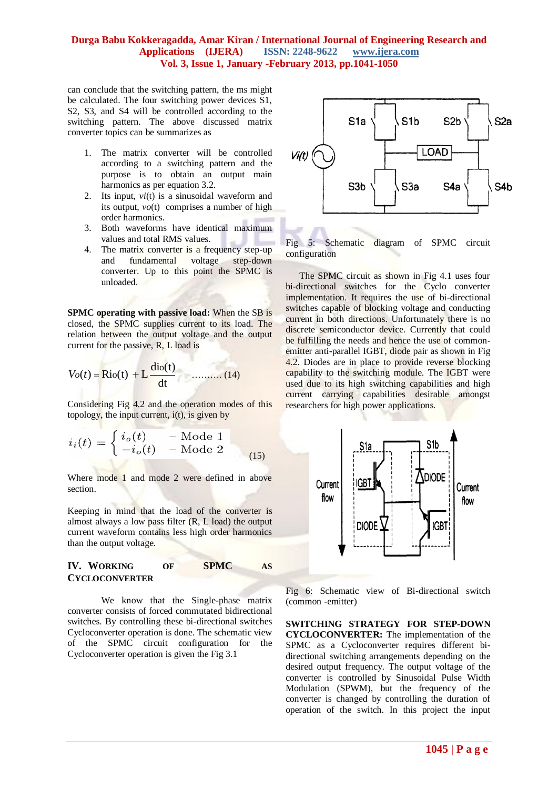can conclude that the switching pattern, the ms might be calculated. The four switching power devices S1, S2, S3, and S4 will be controlled according to the switching pattern. The above discussed matrix converter topics can be summarizes as

- 1. The matrix converter will be controlled according to a switching pattern and the purpose is to obtain an output main harmonics as per equation 3.2.
- 2. Its input, *vi*(t) is a sinusoidal waveform and its output,  $vo(t)$  comprises a number of high order harmonics.
- 3. Both waveforms have identical maximum values and total RMS values.
- 4. The matrix converter is a frequency step-up and fundamental voltage step-down converter. Up to this point the SPMC is unloaded.

**SPMC operating with passive load:** When the SB is closed, the SPMC supplies current to its load. The relation between the output voltage and the output current for the passive, R, L load is

$$
V_o(t) = \text{Rio}(t) + L \frac{\text{dio}(t)}{\text{dt}}
$$
 (14)

Considering Fig 4.2 and the operation modes of this topology, the input current,  $i(t)$ , is given by

$$
i_i(t) = \begin{cases} i_o(t) & - \text{ Mode } 1 \\ -i_o(t) & - \text{ Mode } 2 \end{cases}
$$
 (15)

Where mode 1 and mode 2 were defined in above section.

Keeping in mind that the load of the converter is almost always a low pass filter (R, L load) the output current waveform contains less high order harmonics than the output voltage.

#### **IV. WORKING OF SPMC AS CYCLOCONVERTER**

We know that the Single-phase matrix converter consists of forced commutated bidirectional switches. By controlling these bi-directional switches Cycloconverter operation is done. The schematic view of the SPMC circuit configuration for the Cycloconverter operation is given the Fig 3.1



Fig 5: Schematic diagram of SPMC circuit configuration

 The SPMC circuit as shown in Fig 4.1 uses four bi-directional switches for the Cyclo converter implementation. It requires the use of bi-directional switches capable of blocking voltage and conducting current in both directions. Unfortunately there is no discrete semiconductor device. Currently that could be fulfilling the needs and hence the use of commonemitter anti-parallel IGBT, diode pair as shown in Fig 4.2. Diodes are in place to provide reverse blocking capability to the switching module. The IGBT were used due to its high switching capabilities and high current carrying capabilities desirable amongst researchers for high power applications.



Fig 6: Schematic view of Bi-directional switch (common -emitter)

**SWITCHING STRATEGY FOR STEP-DOWN CYCLOCONVERTER:** The implementation of the SPMC as a Cycloconverter requires different bidirectional switching arrangements depending on the desired output frequency. The output voltage of the converter is controlled by Sinusoidal Pulse Width Modulation (SPWM), but the frequency of the converter is changed by controlling the duration of operation of the switch. In this project the input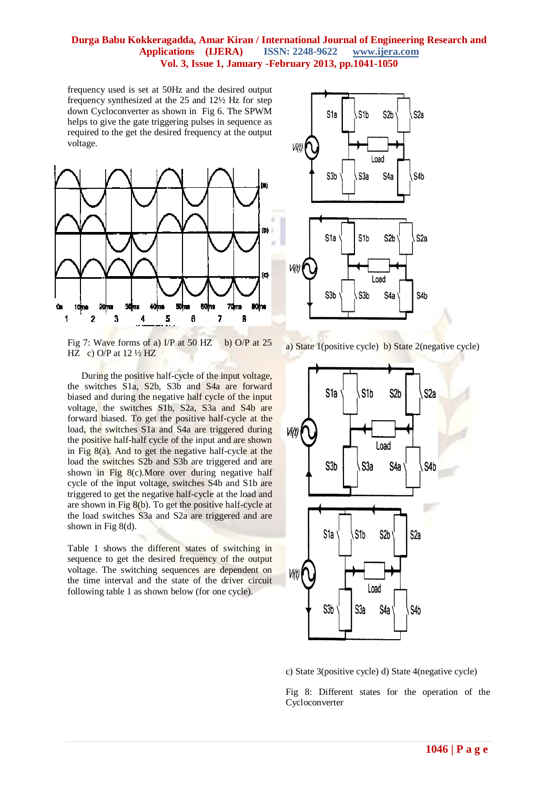frequency used is set at 50Hz and the desired output frequency synthesized at the 25 and 12½ Hz for step down Cycloconverter as shown in Fig 6. The SPWM helps to give the gate triggering pulses in sequence as required to the get the desired frequency at the output voltage.



Fig 7: Wave forms of a)  $I/P$  at 50 HZ b) O/P at 25 HZ c) O/P at  $12\frac{1}{2}$  HZ

 During the positive half-cycle of the input voltage, the switches S1a, S2b, S3b and S4a are forward biased and during the negative half cycle of the input voltage, the switches S1b, S2a, S3a and S4b are forward biased. To get the positive half-cycle at the load, the switches S1a and S4a are triggered during the positive half-half cycle of the input and are shown in Fig  $8(a)$ . And to get the negative half-cycle at the load the switches S2b and S3b are triggered and are shown in Fig 8(c). More over during negative half cycle of the input voltage, switches S4b and S1b are triggered to get the negative half-cycle at the load and are shown in Fig  $8(b)$ . To get the positive half-cycle at the load switches S3a and S2a are triggered and are shown in Fig 8(d).

Table 1 shows the different states of switching in sequence to get the desired frequency of the output voltage. The switching sequences are dependent on the time interval and the state of the driver circuit following table 1 as shown below (for one cycle).



a) State 1(positive cycle) b) State 2(negative cycle)



c) State 3(positive cycle) d) State 4(negative cycle)

Fig 8: Different states for the operation of the Cycloconverter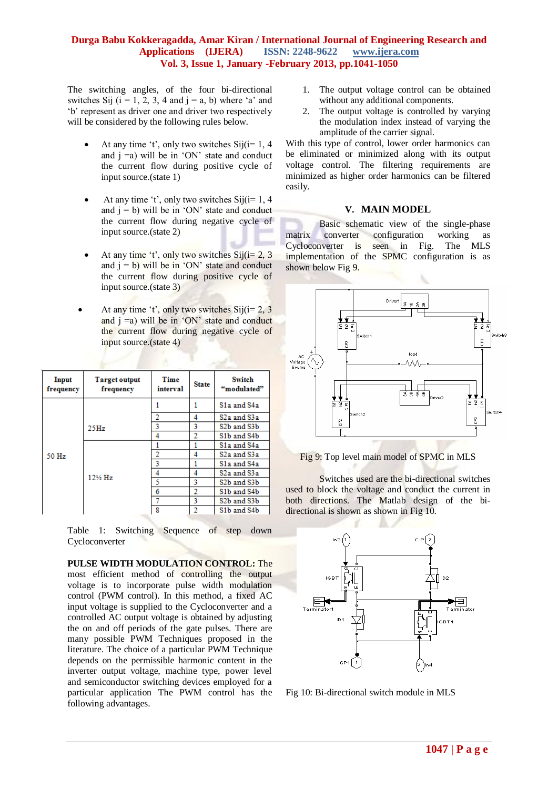The switching angles, of the four bi-directional switches Sij  $(i = 1, 2, 3, 4$  and  $j = a$ , b) where 'a' and "b" represent as driver one and driver two respectively will be considered by the following rules below.

- At any time 't', only two switches  $Sij(i=1, 4)$ and  $i = a$ ) will be in 'ON' state and conduct the current flow during positive cycle of input source.(state 1)
- At any time 't', only two switches  $\text{Sij}(i=1, 4)$ and  $j = b$ ) will be in 'ON' state and conduct the current flow during negative cycle of input source.(state 2)
- At any time 't', only two switches  $Si( i = 2, 3)$ and  $i = b$ ) will be in 'ON' state and conduct the current flow during positive cycle of input source.(state 3)
- At any time 't', only two switches  $Sij(i=2, 3)$ and  $j = a$ ) will be in 'ON' state and conduct the current flow during negative cycle of input source.(state 4)

| Input<br>frequency | <b>Target output</b><br>frequency | Time<br>interval | <b>State</b> | <b>Switch</b><br>"modulated"          |
|--------------------|-----------------------------------|------------------|--------------|---------------------------------------|
| 50 Hz              |                                   |                  |              | S1a and S4a                           |
|                    |                                   |                  | 4            | S2a and S3a                           |
|                    | 25Hz                              | 3                | 3            | S2b and S3b                           |
|                    |                                   | 4                | 2            | S1b and S4b                           |
|                    | 12½ Hz                            |                  |              | S1a and S4a                           |
|                    |                                   |                  | 4            | S2a and S3a                           |
|                    |                                   | 3                |              | S1a and S4a                           |
|                    |                                   | 4                | 4            | S2a and S3a                           |
|                    |                                   | 5                | 3            | S <sub>2</sub> b and S <sub>3</sub> b |
|                    |                                   | 6                | 2            | S <sub>1</sub> b and S <sub>4</sub> b |
|                    |                                   |                  | 3            | S2b and S3b                           |
|                    |                                   | g                |              | S1b and S4b                           |

Table 1: Switching Sequence of step down Cycloconverter

**PULSE WIDTH MODULATION CONTROL:** The most efficient method of controlling the output voltage is to incorporate pulse width modulation control (PWM control). In this method, a fixed AC input voltage is supplied to the Cycloconverter and a controlled AC output voltage is obtained by adjusting the on and off periods of the gate pulses. There are many possible PWM Techniques proposed in the literature. The choice of a particular PWM Technique depends on the permissible harmonic content in the inverter output voltage, machine type, power level and semiconductor switching devices employed for a particular application The PWM control has the following advantages.

- 1. The output voltage control can be obtained without any additional components.
- 2. The output voltage is controlled by varying the modulation index instead of varying the amplitude of the carrier signal.

With this type of control, lower order harmonics can be eliminated or minimized along with its output voltage control. The filtering requirements are minimized as higher order harmonics can be filtered easily.

#### **V. MAIN MODEL**

Basic schematic view of the single-phase matrix converter configuration working as Cycloconverter is seen in Fig. The MLS implementation of the SPMC configuration is as shown below Fig 9.



#### Fig 9: Top level main model of SPMC in MLS

Switches used are the bi-directional switches used to block the voltage and conduct the current in both directions. The Matlab design of the bidirectional is shown as shown in Fig 10.



Fig 10: Bi-directional switch module in MLS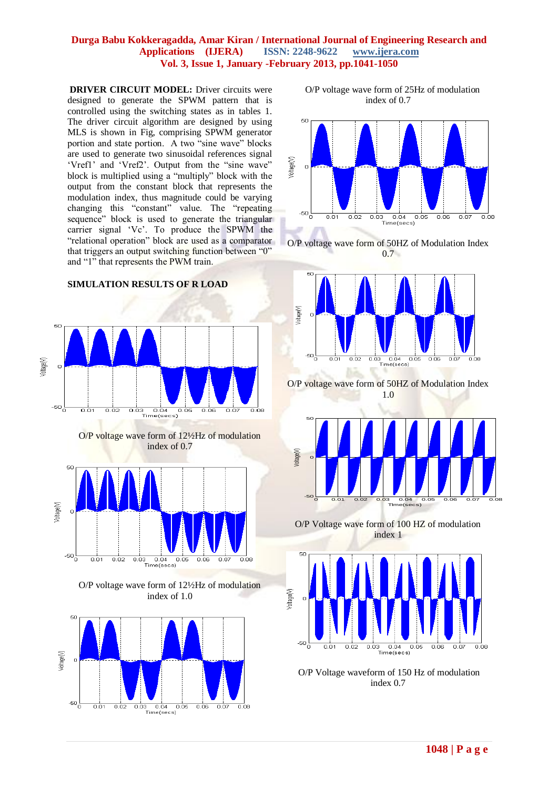**DRIVER CIRCUIT MODEL:** Driver circuits were designed to generate the SPWM pattern that is controlled using the switching states as in tables 1. The driver circuit algorithm are designed by using MLS is shown in Fig, comprising SPWM generator portion and state portion. A two "sine wave" blocks are used to generate two sinusoidal references signal 'Vref1' and 'Vref2'. Output from the "sine wave" block is multiplied using a "multiply" block with the output from the constant block that represents the modulation index, thus magnitude could be varying changing this "constant" value. The "repeating sequence" block is used to generate the triangular carrier signal "Vc". To produce the SPWM the "relational operation" block are used as a comparator that triggers an output switching function between "0" and "1" that represents the PWM train.



**SIMULATION RESULTS OF R LOAD**



 O/P voltage wave form of 25Hz of modulation index of 0.7







O/P voltage wave form of 50HZ of Modulation Index 1.0



O/P Voltage wave form of 100 HZ of modulation index 1



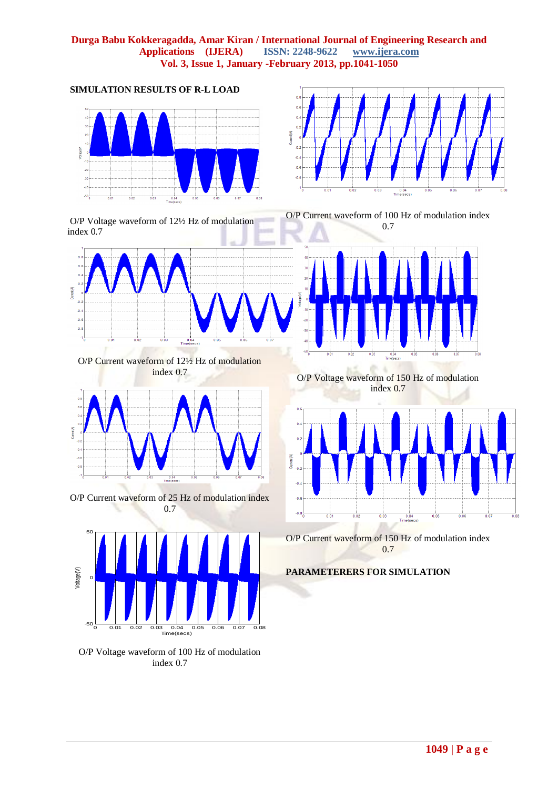

**SIMULATION RESULTS OF R-L LOAD**





O/P Current waveform of 12½ Hz of modulation index 0.7



O/P Current waveform of 25 Hz of modulation index 0.7



O/P Voltage waveform of 100 Hz of modulation index 0.7



O/P Current waveform of 100 Hz of modulation index 0.7



O/P Voltage waveform of 150 Hz of modulation index 0.7



O/P Current waveform of 150 Hz of modulation index 0.7

## **PARAMETERERS FOR SIMULATION**